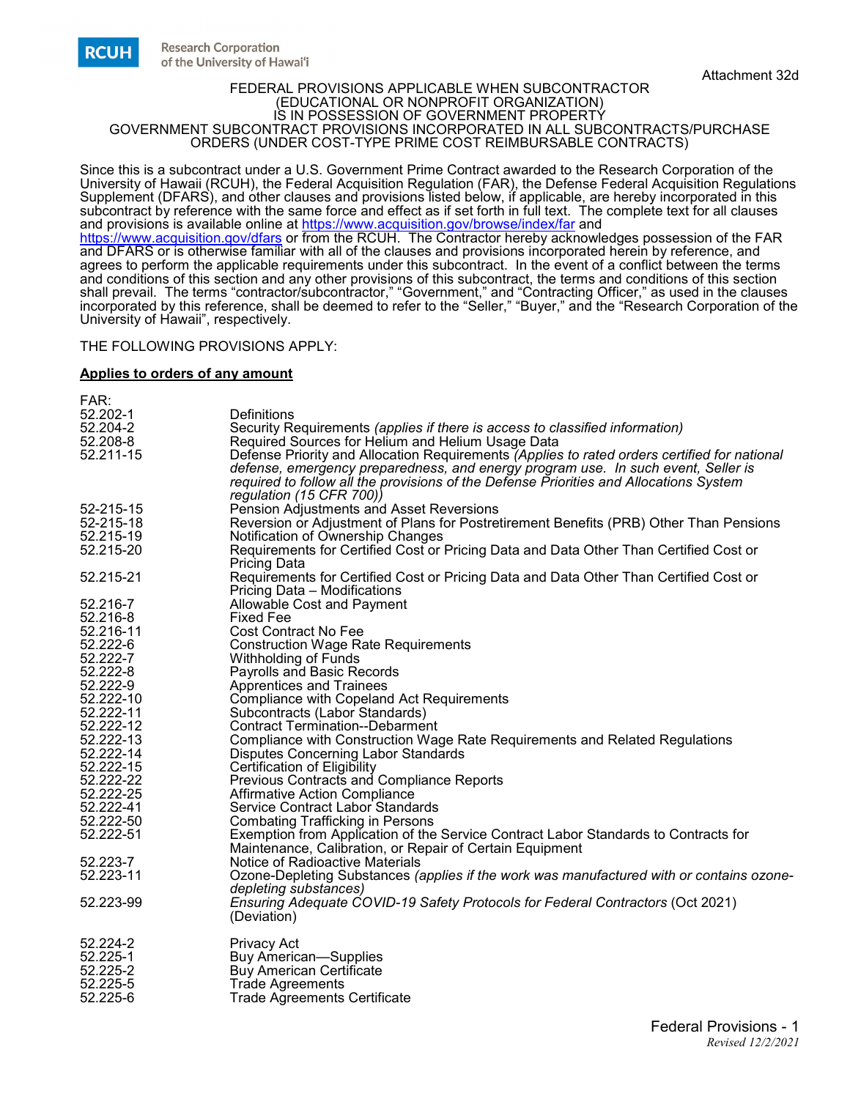

#### FEDERAL PROVISIONS APPLICABLE WHEN SUBCONTRACTOR (EDUCATIONAL OR NONPROFIT ORGANIZATION) IS IN POSSESSION OF GOVERNMENT PROPERTY GOVERNMENT SUBCONTRACT PROVISIONS INCORPORATED IN ALL SUBCONTRACTS/PURCHASE ORDERS (UNDER COST-TYPE PRIME COST REIMBURSABLE CONTRACTS)

Since this is a subcontract under a U.S. Government Prime Contract awarded to the Research Corporation of the University of Hawaii (RCUH), the Federal Acquisition Regulation (FAR), the Defense Federal Acquisition Regulations Supplement (DFARS), and other clauses and provisions listed below, if applicable, are hereby incorporated in this subcontract by reference with the same force and effect as if set forth in full text. The complete text for all clauses and provisions is available online at <u>https://www.acquisition.gov/browse/index/far</u> and <https://www.acquisition.gov/dfars> or from the RCUH. The Contractor hereby acknowledges possession of the FAR and DFARS or is otherwise familiar with all of the clauses and provisions incorporated herein by reference, and agrees to perform the applicable requirements under this subcontract. In the event of a conflict between the terms and conditions of this section and any other provisions of this subcontract, the terms and conditions of this section shall prevail. The terms "contractor/subcontractor," "Government," and "Contracting Officer," as used in the clauses incorporated by this reference, shall be deemed to refer to the "Seller," "Buyer," and the "Research Corporation of the University of Hawaii", respectively.

#### THE FOLLOWING PROVISIONS APPLY:

### **Applies to orders of any amount**

| FAR:      |                                                                                              |
|-----------|----------------------------------------------------------------------------------------------|
| 52.202-1  | Definitions                                                                                  |
| 52.204-2  | Security Requirements (applies if there is access to classified information)                 |
| 52.208-8  | Required Sources for Helium and Helium Usage Data                                            |
| 52.211-15 | Defense Priority and Allocation Requirements (Applies to rated orders certified for national |
|           |                                                                                              |
|           | defense, emergency preparedness, and energy program use. In such event, Seller is            |
|           | required to follow all the provisions of the Defense Priorities and Allocations System       |
|           | regulation (15 CFR 700))                                                                     |
| 52-215-15 | Pension Adjustments and Asset Reversions                                                     |
| 52-215-18 | Reversion or Adjustment of Plans for Postretirement Benefits (PRB) Other Than Pensions       |
| 52.215-19 | Notification of Ownership Changes                                                            |
| 52.215-20 | Requirements for Certified Cost or Pricing Data and Data Other Than Certified Cost or        |
|           | <b>Pricing Data</b>                                                                          |
| 52.215-21 | Requirements for Certified Cost or Pricing Data and Data Other Than Certified Cost or        |
|           | Pricing Data - Modifications                                                                 |
| 52.216-7  | Allowable Cost and Payment                                                                   |
| 52.216-8  | <b>Fixed Fee</b>                                                                             |
| 52.216-11 | <b>Cost Contract No Fee</b>                                                                  |
|           |                                                                                              |
| 52.222-6  | <b>Construction Wage Rate Requirements</b>                                                   |
| 52.222-7  | Withholding of Funds                                                                         |
| 52.222-8  | Payrolls and Basic Records                                                                   |
| 52.222-9  | Apprentices and Trainees                                                                     |
| 52.222-10 | <b>Compliance with Copeland Act Requirements</b>                                             |
| 52.222-11 | Subcontracts (Labor Standards)                                                               |
| 52.222-12 | <b>Contract Termination--Debarment</b>                                                       |
| 52.222-13 | Compliance with Construction Wage Rate Requirements and Related Regulations                  |
| 52.222-14 | Disputes Concerning Labor Standards                                                          |
| 52.222-15 | Certification of Eligibility                                                                 |
| 52.222-22 | Previous Contracts and Compliance Reports                                                    |
| 52.222-25 | <b>Affirmative Action Compliance</b>                                                         |
| 52.222-41 | Service Contract Labor Standards                                                             |
| 52.222-50 | <b>Combating Trafficking in Persons</b>                                                      |
| 52.222-51 | Exemption from Application of the Service Contract Labor Standards to Contracts for          |
|           |                                                                                              |
|           | Maintenance, Calibration, or Repair of Certain Equipment                                     |
| 52.223-7  | Notice of Radioactive Materials                                                              |
| 52.223-11 | Ozone-Depleting Substances (applies if the work was manufactured with or contains ozone-     |
|           | depleting substances)                                                                        |
| 52.223-99 | Ensuring Adequate COVID-19 Safety Protocols for Federal Contractors (Oct 2021)               |
|           | (Deviation)                                                                                  |
|           |                                                                                              |
| 52.224-2  | Privacy Act                                                                                  |
| 52.225-1  | Buy American—Supplies                                                                        |
| 52.225-2  | <b>Buy American Certificate</b>                                                              |
| 52.225-5  | <b>Trade Agreements</b>                                                                      |
| 52.225-6  | <b>Trade Agreements Certificate</b>                                                          |
|           |                                                                                              |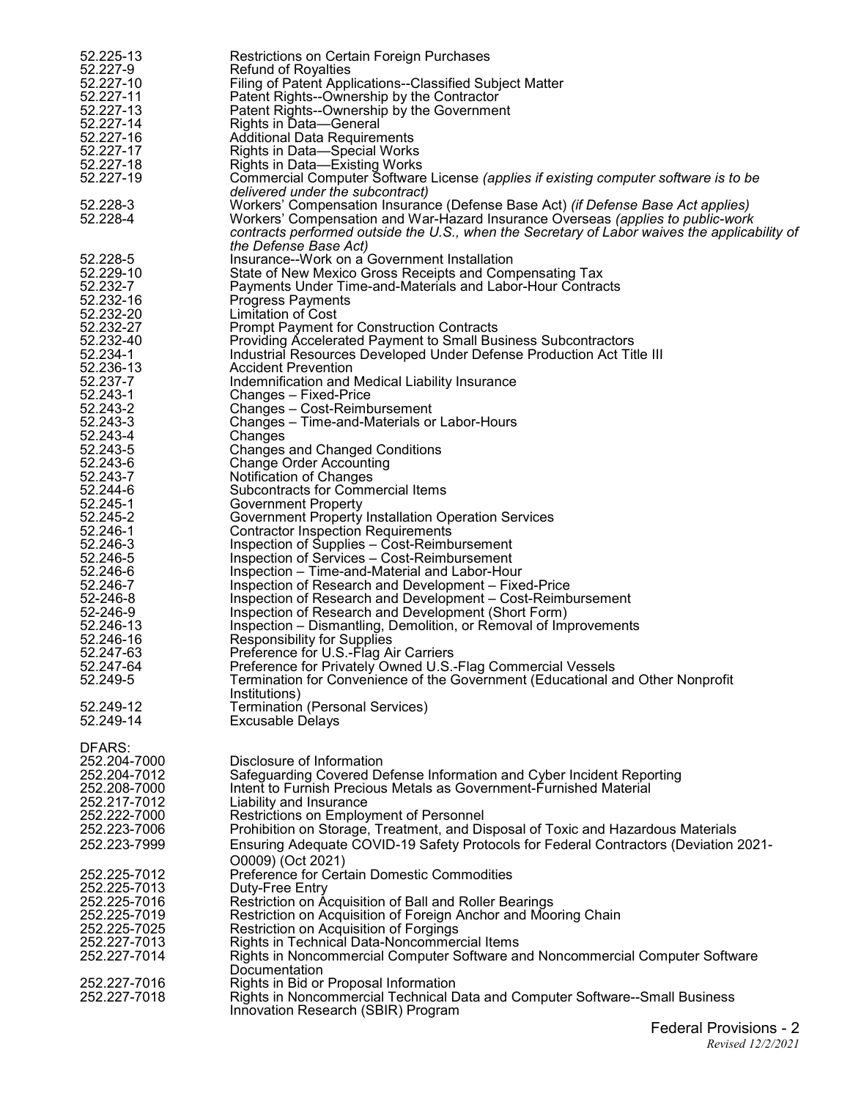| 52.225-13                    | Restrictions on Certain Foreign Purchases                                                                                                                                        |
|------------------------------|----------------------------------------------------------------------------------------------------------------------------------------------------------------------------------|
| 52.227-9                     | <b>Refund of Royalties</b>                                                                                                                                                       |
| 52.227-10<br>52.227-11       | Filing of Patent Applications--Classified Subject Matter<br>Patent Rights--Ownership by the Contractor                                                                           |
| 52.227-13                    | Patent Rights--Ownership by the Government                                                                                                                                       |
| 52.227-14                    | Rights in Data-General                                                                                                                                                           |
| 52.227-16                    | <b>Additional Data Requirements</b>                                                                                                                                              |
| 52.227-17<br>52.227-18       | <b>Rights in Data-Special Works</b><br>Rights in Data-Existing Works                                                                                                             |
| 52.227-19                    | Commercial Computer Software License (applies if existing computer software is to be                                                                                             |
|                              | delivered under the subcontract)                                                                                                                                                 |
| 52.228-3                     | Workers' Compensation Insurance (Defense Base Act) (if Defense Base Act applies)                                                                                                 |
| 52.228-4                     | Workers' Compensation and War-Hazard Insurance Overseas (applies to public-work<br>contracts performed outside the U.S., when the Secretary of Labor waives the applicability of |
|                              | the Defense Base Act)                                                                                                                                                            |
| 52.228-5                     | Insurance--Work on a Government Installation                                                                                                                                     |
| 52.229-10                    | State of New Mexico Gross Receipts and Compensating Tax                                                                                                                          |
| 52.232-7<br>52.232-16        | Payments Under Time-and-Materials and Labor-Hour Contracts                                                                                                                       |
| 52.232-20                    | <b>Progress Payments</b><br>Limitation of Cost                                                                                                                                   |
| 52.232-27                    | <b>Prompt Payment for Construction Contracts</b>                                                                                                                                 |
| 52.232-40                    | Providing Accelerated Payment to Small Business Subcontractors                                                                                                                   |
| 52.234-1                     | Industrial Resources Developed Under Defense Production Act Title III                                                                                                            |
| 52.236-13<br>52.237-7        | <b>Accident Prevention</b><br>Indemnification and Medical Liability Insurance                                                                                                    |
| 52.243-1                     | Changes - Fixed-Price                                                                                                                                                            |
| 52.243-2                     | Changes - Cost-Reimbursement                                                                                                                                                     |
| 52.243-3                     | Changes - Time-and-Materials or Labor-Hours                                                                                                                                      |
| 52.243-4<br>52.243-5         | Changes<br><b>Changes and Changed Conditions</b>                                                                                                                                 |
| 52.243-6                     | <b>Change Order Accounting</b>                                                                                                                                                   |
| 52.243-7                     | Notification of Changes                                                                                                                                                          |
| 52.244-6                     | Subcontracts for Commercial Items                                                                                                                                                |
| 52.245-1<br>52.245-2         | <b>Government Property</b><br>Government Property Installation Operation Services                                                                                                |
| 52.246-1                     | <b>Contractor Inspection Requirements</b>                                                                                                                                        |
| 52.246-3                     | Inspection of Supplies – Cost-Reimbursement                                                                                                                                      |
| 52.246-5                     | Inspection of Services – Cost-Reimbursement                                                                                                                                      |
| 52.246-6<br>52.246-7         | Inspection – Time-and-Material and Labor-Hour<br>Inspection of Research and Development - Fixed-Price                                                                            |
| 52-246-8                     | Inspection of Research and Development – Cost-Reimbursement                                                                                                                      |
| 52-246-9                     | Inspection of Research and Development (Short Form)                                                                                                                              |
| 52.246-13                    | Inspection – Dismantling, Demolition, or Removal of Improvements                                                                                                                 |
| 52.246-16<br>52.247-63       | <b>Responsibility for Supplies</b><br>Preference for U.S.-Flag Air Carriers                                                                                                      |
| 52.247-64                    | Preference for Privately Owned U.S.-Flag Commercial Vessels                                                                                                                      |
| 52.249-5                     | Termination for Convenience of the Government (Educational and Other Nonprofit                                                                                                   |
|                              | Institutions)                                                                                                                                                                    |
| 52.249-12<br>52.249-14       | Termination (Personal Services)<br><b>Excusable Delays</b>                                                                                                                       |
|                              |                                                                                                                                                                                  |
| DFARS:                       |                                                                                                                                                                                  |
| 252.204-7000                 | Disclosure of Information                                                                                                                                                        |
| 252.204-7012<br>252.208-7000 | Safeguarding Covered Defense Information and Cyber Incident Reporting<br>Intent to Furnish Precious Metals as Government-Furnished Material                                      |
| 252.217-7012                 | Liability and Insurance                                                                                                                                                          |
| 252.222-7000                 | Restrictions on Employment of Personnel                                                                                                                                          |
| 252.223-7006                 | Prohibition on Storage, Treatment, and Disposal of Toxic and Hazardous Materials                                                                                                 |
| 252.223-7999                 | Ensuring Adequate COVID-19 Safety Protocols for Federal Contractors (Deviation 2021-                                                                                             |
| 252.225-7012                 | O0009) (Oct 2021)<br>Preference for Certain Domestic Commodities                                                                                                                 |
| 252.225-7013                 | Duty-Free Entry                                                                                                                                                                  |
| 252.225-7016                 | Restriction on Acquisition of Ball and Roller Bearings                                                                                                                           |
| 252.225-7019                 | Restriction on Acquisition of Foreign Anchor and Mooring Chain                                                                                                                   |
| 252.225-7025<br>252.227-7013 | Restriction on Acquisition of Forgings<br>Rights in Technical Data-Noncommercial Items                                                                                           |
| 252.227-7014                 | Rights in Noncommercial Computer Software and Noncommercial Computer Software                                                                                                    |
|                              | Documentation                                                                                                                                                                    |
| 252.227-7016                 | Rights in Bid or Proposal Information                                                                                                                                            |
| 252.227-7018                 | Rights in Noncommercial Technical Data and Computer Software--Small Business                                                                                                     |
|                              | Innovation Research (SBIR) Program                                                                                                                                               |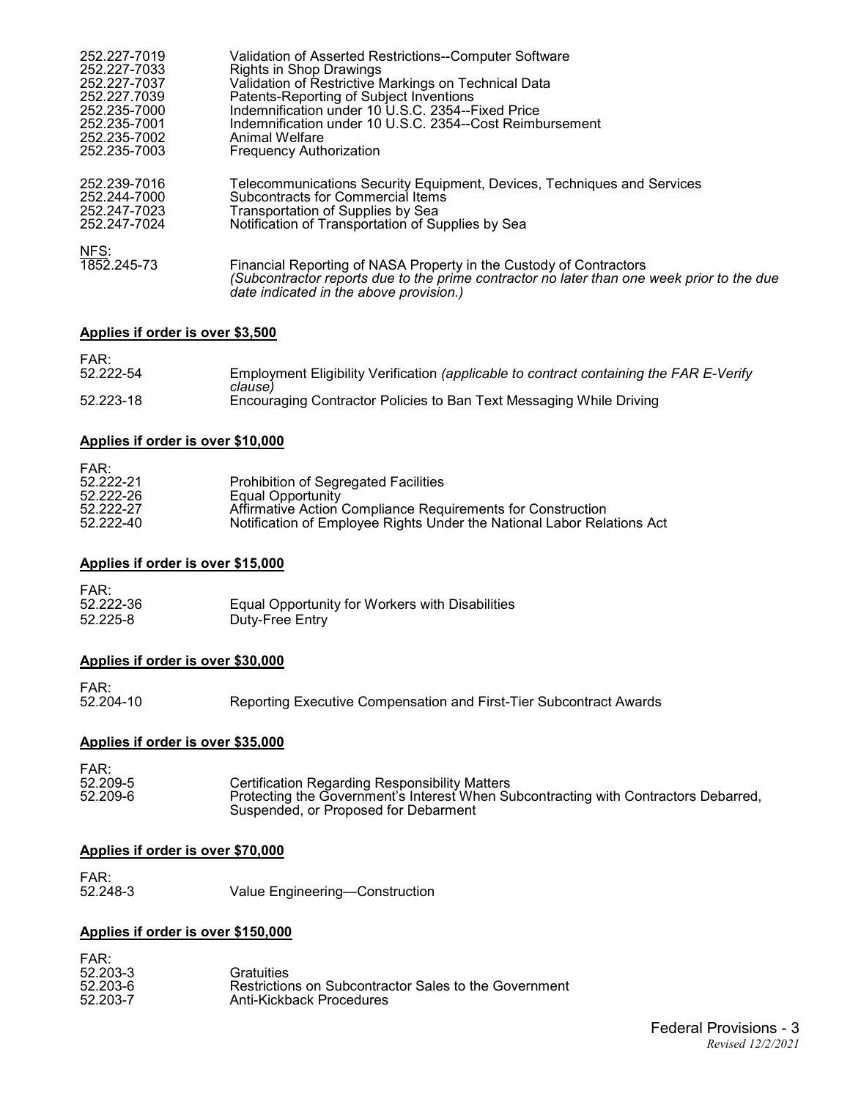| 252.227-7019        | Validation of Asserted Restrictions--Computer Software                                                                                                                                                      |
|---------------------|-------------------------------------------------------------------------------------------------------------------------------------------------------------------------------------------------------------|
| 252.227-7033        | Rights in Shop Drawings                                                                                                                                                                                     |
| 252.227-7037        | Validation of Restrictive Markings on Technical Data                                                                                                                                                        |
| 252.227.7039        | Patents-Reporting of Subject Inventions                                                                                                                                                                     |
| 252.235-7000        | Indemnification under 10 U.S.C. 2354--Fixed Price                                                                                                                                                           |
| 252.235-7001        | Indemnification under 10 U.S.C. 2354--Cost Reimbursement                                                                                                                                                    |
| 252.235-7002        | Animal Welfare                                                                                                                                                                                              |
| 252.235-7003        | <b>Frequency Authorization</b>                                                                                                                                                                              |
| 252.239-7016        | Telecommunications Security Equipment, Devices, Techniques and Services                                                                                                                                     |
| 252.244-7000        | Subcontracts for Commercial Items                                                                                                                                                                           |
| 252.247-7023        | Transportation of Supplies by Sea                                                                                                                                                                           |
| 252.247-7024        | Notification of Transportation of Supplies by Sea                                                                                                                                                           |
|                     |                                                                                                                                                                                                             |
| NFS:<br>1852.245-73 |                                                                                                                                                                                                             |
|                     | Financial Reporting of NASA Property in the Custody of Contractors<br>(Subcontractor reports due to the prime contractor no later than one week prior to the due<br>date indicated in the above provision.) |
|                     |                                                                                                                                                                                                             |

# **Applies if order is over \$3,500**

| FAR:      |                                                                                         |
|-----------|-----------------------------------------------------------------------------------------|
| 52.222-54 | Employment Eligibility Verification (applicable to contract containing the FAR E-Verify |
|           | clause)                                                                                 |
| 52.223-18 | Encouraging Contractor Policies to Ban Text Messaging While Driving                     |
|           |                                                                                         |

# **Applies if order is over \$10,000**

| FAR:      |                                                                        |
|-----------|------------------------------------------------------------------------|
| 52.222-21 | Prohibition of Segregated Facilities                                   |
| 52.222-26 | Equal Opportunity                                                      |
| 52.222-27 | Affirmative Action Compliance Requirements for Construction            |
| 52.222-40 | Notification of Employee Rights Under the National Labor Relations Act |

# **Applies if order is over \$15,000**

| FAR:      |                                                 |
|-----------|-------------------------------------------------|
| 52.222-36 | Equal Opportunity for Workers with Disabilities |
| 52.225-8  | Duty-Free Entry                                 |

# **Applies if order is over \$30,000**

FAR:<br>52.204-10

52.204-10 Reporting Executive Compensation and First-Tier Subcontract Awards

# **Applies if order is over \$35,000**

| FAR:<br>52.209-5<br>52.209-6 | <b>Certification Regarding Responsibility Matters</b><br>Protecting the Government's Interest When Subcontracting with Contractors Debarred, |
|------------------------------|----------------------------------------------------------------------------------------------------------------------------------------------|
|                              | Suspended, or Proposed for Debarment                                                                                                         |

# **Applies if order is over \$70,000**

FAR:<br>52.248-3 Value Engineering-Construction

# **Applies if order is over \$150,000**

| FAR:<br>52.203-3<br>52.203-6<br>52.203-7 | Gratuities<br>Restrictions on Subcontractor Sales to the Government<br>Anti-Kickback Procedures |
|------------------------------------------|-------------------------------------------------------------------------------------------------|
|                                          |                                                                                                 |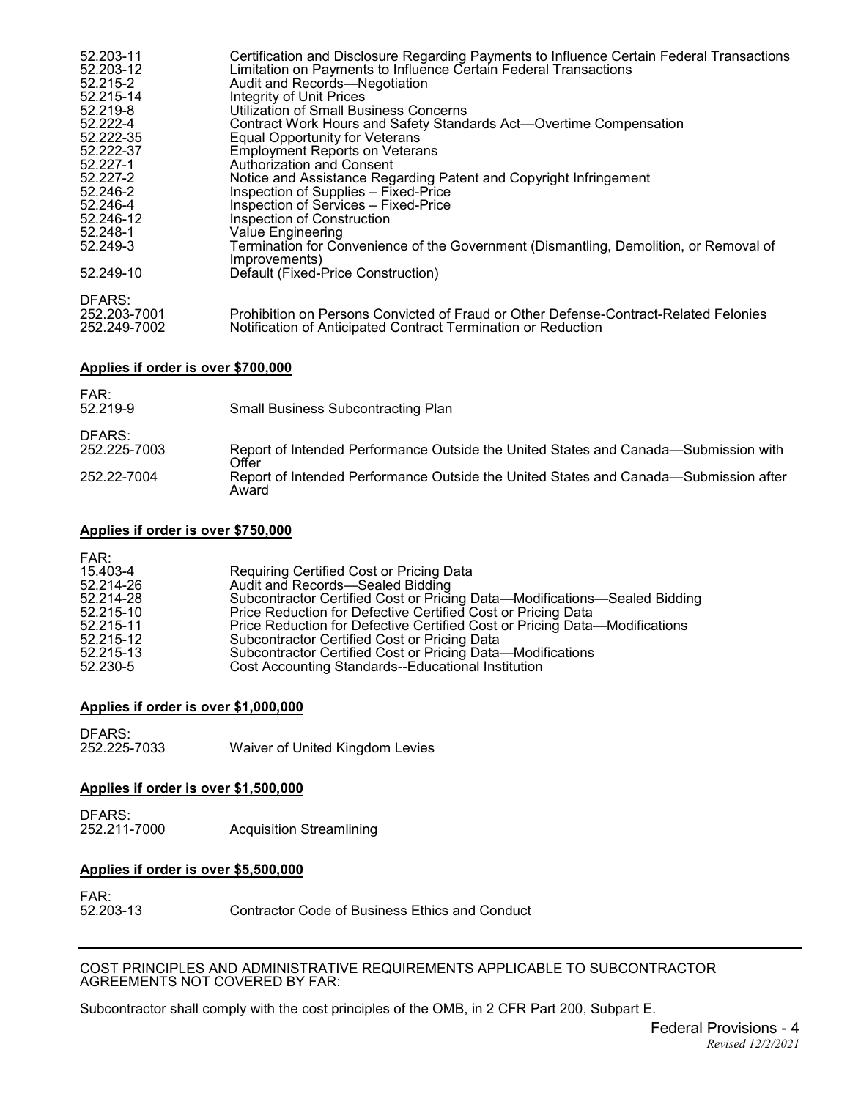| 52.203-11                    | Certification and Disclosure Regarding Payments to Influence Certain Federal Transactions                                                             |
|------------------------------|-------------------------------------------------------------------------------------------------------------------------------------------------------|
| 52.203-12                    | Limitation on Payments to Influence Certain Federal Transactions                                                                                      |
| 52.215-2                     | Audit and Records-Negotiation                                                                                                                         |
| 52.215-14                    | Integrity of Unit Prices                                                                                                                              |
| 52.219-8                     | <b>Utilization of Small Business Concerns</b>                                                                                                         |
| 52.222-4                     | Contract Work Hours and Safety Standards Act—Overtime Compensation                                                                                    |
| 52.222-35                    | Equal Opportunity for Veterans                                                                                                                        |
| 52.222-37                    | <b>Employment Reports on Veterans</b>                                                                                                                 |
| 52.227-1                     | Authorization and Consent                                                                                                                             |
| 52.227-2                     | Notice and Assistance Regarding Patent and Copyright Infringement                                                                                     |
| 52.246-2                     | Inspection of Supplies - Fixed-Price                                                                                                                  |
| 52.246-4                     | Inspection of Services - Fixed-Price                                                                                                                  |
| 52.246-12                    | Inspection of Construction                                                                                                                            |
| 52.248-1                     | <b>Value Engineering</b>                                                                                                                              |
| 52.249-3                     | Termination for Convenience of the Government (Dismantling, Demolition, or Removal of<br>Improvements)                                                |
| 52.249-10                    | Default (Fixed-Price Construction)                                                                                                                    |
| DFARS:                       |                                                                                                                                                       |
| 252.203-7001<br>252.249-7002 | Prohibition on Persons Convicted of Fraud or Other Defense-Contract-Related Felonies<br>Notification of Anticipated Contract Termination or Reduction |

### **Applies if order is over \$700,000**

| FAR:<br>52.219-9       | <b>Small Business Subcontracting Plan</b>                                                     |
|------------------------|-----------------------------------------------------------------------------------------------|
| DFARS:<br>252.225-7003 | Report of Intended Performance Outside the United States and Canada-Submission with<br>∩ffer  |
| 252.22-7004            | Report of Intended Performance Outside the United States and Canada—Submission after<br>Award |

### **Applies if order is over \$750,000**

| FAR:      |                                                                            |
|-----------|----------------------------------------------------------------------------|
| 15.403-4  | Requiring Certified Cost or Pricing Data                                   |
| 52.214-26 | Audit and Records-Sealed Bidding                                           |
| 52.214-28 | Subcontractor Certified Cost or Pricing Data—Modifications—Sealed Bidding  |
| 52.215-10 | Price Reduction for Defective Certified Cost or Pricing Data               |
| 52.215-11 | Price Reduction for Defective Certified Cost or Pricing Data—Modifications |
| 52.215-12 | Subcontractor Certified Cost or Pricing Data                               |
| 52.215-13 | Subcontractor Certified Cost or Pricing Data-Modifications                 |
| 52.230-5  | Cost Accounting Standards--Educational Institution                         |

# **Applies if order is over \$1,000,000**

DFARS:<br>252.225-7033 Waiver of United Kingdom Levies

#### **Applies if order is over \$1,500,000**

DFARS:<br>252.211-7000 **Acquisition Streamlining** 

# **Applies if order is over \$5,500,000**

FAR:<br>52.203-13

Contractor Code of Business Ethics and Conduct

COST PRINCIPLES AND ADMINISTRATIVE REQUIREMENTS APPLICABLE TO SUBCONTRACTOR AGREEMENTS NOT COVERED BY FAR:

Subcontractor shall comply with the cost principles of the OMB, in 2 CFR Part 200, Subpart E.